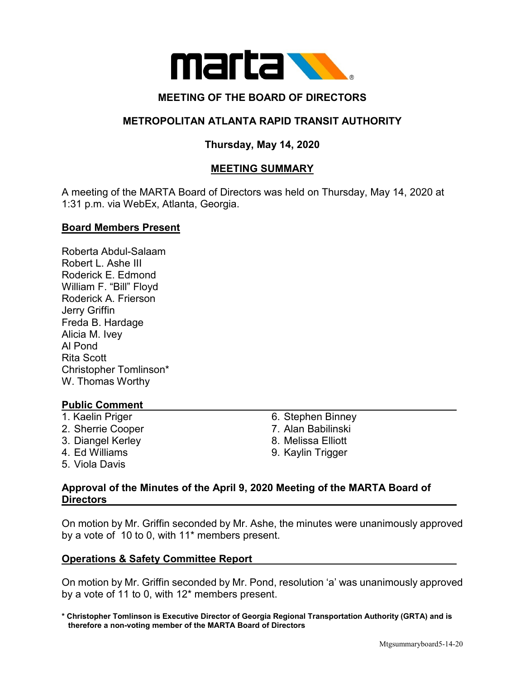

# **MEETING OF THE BOARD OF DIRECTORS**

# **METROPOLITAN ATLANTA RAPID TRANSIT AUTHORITY**

# **Thursday, May 14, 2020**

# **MEETING SUMMARY**

A meeting of the MARTA Board of Directors was held on Thursday, May 14, 2020 at 1:31 p.m. via WebEx, Atlanta, Georgia.

### **Board Members Present**

Roberta Abdul-Salaam Robert L. Ashe III Roderick E. Edmond William F. "Bill" Floyd Roderick A. Frierson Jerry Griffin Freda B. Hardage Alicia M. Ivey Al Pond Rita Scott Christopher Tomlinson\* W. Thomas Worthy

## **Public Comment**

- 
- 
- 
- 
- 5. Viola Davis
- 1. Kaelin Priger **6. Stephen Binney**
- 2. Sherrie Cooper 7. Alan Babilinski
- 3. Diangel Kerley 8. Melissa Elliott
- 4. Ed Williams 9. Kaylin Trigger

## **Approval of the Minutes of the April 9, 2020 Meeting of the MARTA Board of Directors**

On motion by Mr. Griffin seconded by Mr. Ashe, the minutes were unanimously approved by a vote of 10 to 0, with 11\* members present.

### **Operations & Safety Committee Report**

On motion by Mr. Griffin seconded by Mr. Pond, resolution 'a' was unanimously approved by a vote of 11 to 0, with 12\* members present.

**\* Christopher Tomlinson is Executive Director of Georgia Regional Transportation Authority (GRTA) and is therefore a non-voting member of the MARTA Board of Directors**